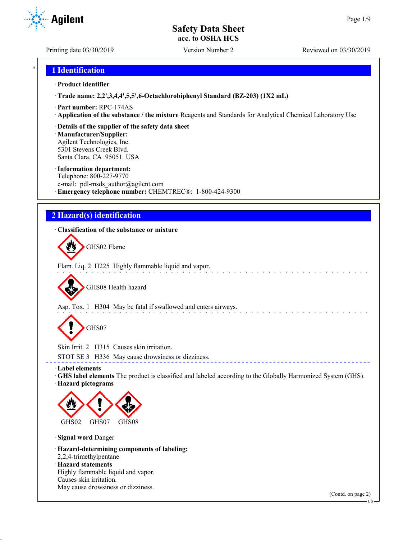Printing date 03/30/2019 Version Number 2 Reviewed on 03/30/2019

**Agilent** 

## \* **1 Identification**

#### · **Product identifier**

· **Trade name: 2,2',3,4,4',5,5',6-Octachlorobiphenyl Standard (BZ-203) (1X2 mL)**

- · **Part number:** RPC-174AS
- · **Application of the substance / the mixture** Reagents and Standards for Analytical Chemical Laboratory Use
- · **Details of the supplier of the safety data sheet**

· **Manufacturer/Supplier:** Agilent Technologies, Inc. 5301 Stevens Creek Blvd. Santa Clara, CA 95051 USA

#### · **Information department:**

Telephone: 800-227-9770 e-mail: pdl-msds author@agilent.com · **Emergency telephone number:** CHEMTREC®: 1-800-424-9300

## **2 Hazard(s) identification**

## · **Classification of the substance or mixture**

GHS02 Flame

Flam. Liq. 2 H225 Highly flammable liquid and vapor. a sa sa sa sa sa sa

GHS08 Health hazard

Asp. Tox. 1 H304 May be fatal if swallowed and enters airways.

GHS07

Skin Irrit. 2 H315 Causes skin irritation.

STOT SE 3 H336 May cause drowsiness or dizziness.

· **Label elements**

· **GHS label elements** The product is classified and labeled according to the Globally Harmonized System (GHS). · **Hazard pictograms**

\_\_\_\_\_\_\_\_\_\_\_\_\_\_\_\_\_\_\_\_\_\_\_\_\_\_\_\_\_\_



· **Signal word** Danger

· **Hazard-determining components of labeling:** 2,2,4-trimethylpentane · **Hazard statements**

Highly flammable liquid and vapor. Causes skin irritation. May cause drowsiness or dizziness.

(Contd. on page 2)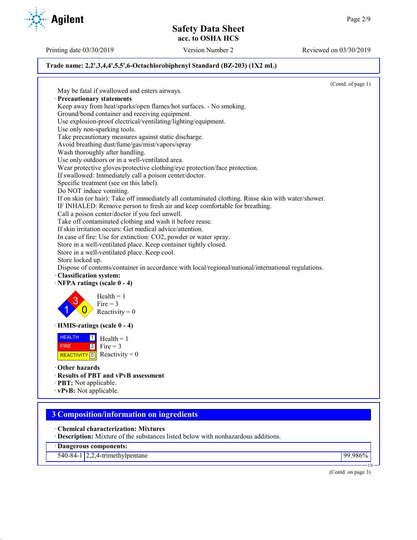Printing date 03/30/2019 Version Number 2 Reviewed on 03/30/2019

## **Trade name: 2,2',3,4,4',5,5',6-Octachlorobiphenyl Standard (BZ-203) (1X2 mL)**

(Contd. of page 1) May be fatal if swallowed and enters airways. · **Precautionary statements** Keep away from heat/sparks/open flames/hot surfaces. - No smoking. Ground/bond container and receiving equipment. Use explosion-proof electrical/ventilating/lighting/equipment. Use only non-sparking tools. Take precautionary measures against static discharge. Avoid breathing dust/fume/gas/mist/vapors/spray Wash thoroughly after handling. Use only outdoors or in a well-ventilated area. Wear protective gloves/protective clothing/eye protection/face protection. If swallowed: Immediately call a poison center/doctor. Specific treatment (see on this label). Do NOT induce vomiting. If on skin (or hair): Take off immediately all contaminated clothing. Rinse skin with water/shower. IF INHALED: Remove person to fresh air and keep comfortable for breathing. Call a poison center/doctor if you feel unwell. Take off contaminated clothing and wash it before reuse. If skin irritation occurs: Get medical advice/attention. In case of fire: Use for extinction: CO2, powder or water spray. Store in a well-ventilated place. Keep container tightly closed. Store in a well-ventilated place. Keep cool. Store locked up. Dispose of contents/container in accordance with local/regional/national/international regulations. · **Classification system:** · **NFPA ratings (scale 0 - 4)** 1 3  $\overline{0}$  $Health = 1$ Fire  $= 3$ Reactivity  $= 0$ · **HMIS-ratings (scale 0 - 4)** HEALTH FIRE REACTIVITY  $\boxed{0}$  Reactivity = 0  $\frac{1}{\Box}$  Health = 1  $3$  Fire = 3 · **Other hazards** · **Results of PBT and vPvB assessment** · **PBT:** Not applicable. · **vPvB:** Not applicable. **3 Composition/information on ingredients** · **Chemical characterization: Mixtures** · **Description:** Mixture of the substances listed below with nonhazardous additions.

· **Dangerous components:**

540-84-1 2,2,4-trimethylpentane 99.986%

(Contd. on page 3)

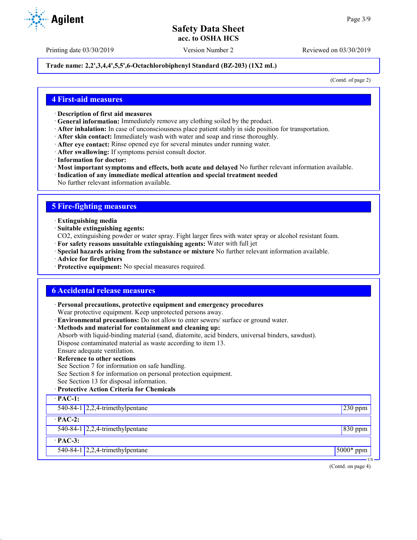Printing date 03/30/2019 Version Number 2 Reviewed on 03/30/2019

### **Trade name: 2,2',3,4,4',5,5',6-Octachlorobiphenyl Standard (BZ-203) (1X2 mL)**

(Contd. of page 2)

## **4 First-aid measures**

- · **Description of first aid measures**
- · **General information:** Immediately remove any clothing soiled by the product.
- · **After inhalation:** In case of unconsciousness place patient stably in side position for transportation.
- · **After skin contact:** Immediately wash with water and soap and rinse thoroughly.
- · **After eye contact:** Rinse opened eye for several minutes under running water.
- · **After swallowing:** If symptoms persist consult doctor.
- · **Information for doctor:**
- · **Most important symptoms and effects, both acute and delayed** No further relevant information available.
- · **Indication of any immediate medical attention and special treatment needed**
- No further relevant information available.

## **5 Fire-fighting measures**

- · **Extinguishing media**
- · **Suitable extinguishing agents:**
- CO2, extinguishing powder or water spray. Fight larger fires with water spray or alcohol resistant foam.
- · **For safety reasons unsuitable extinguishing agents:** Water with full jet
- · **Special hazards arising from the substance or mixture** No further relevant information available.
- · **Advice for firefighters**
- · **Protective equipment:** No special measures required.

## **6 Accidental release measures**

· **Personal precautions, protective equipment and emergency procedures**

Wear protective equipment. Keep unprotected persons away.

- · **Environmental precautions:** Do not allow to enter sewers/ surface or ground water.
- · **Methods and material for containment and cleaning up:**
- Absorb with liquid-binding material (sand, diatomite, acid binders, universal binders, sawdust).

Dispose contaminated material as waste according to item 13.

- Ensure adequate ventilation.
- **Reference to other sections**
- See Section 7 for information on safe handling.
- See Section 8 for information on personal protection equipment.
- See Section 13 for disposal information.

#### · **Protective Action Criteria for Chemicals**

| $\cdot$ PAC-1: |                                                  |             |
|----------------|--------------------------------------------------|-------------|
|                | 540-84-1 $\left  2,2,4\right $ -trimethylpentane | $230$ ppm   |
| $\cdot$ PAC-2: |                                                  |             |
|                | 540-84-1 $\sqrt{2,2,4}$ -trimethylpentane        | $830$ ppm   |
| $\cdot$ PAC-3: |                                                  |             |
|                | $540-84-1$ 2,2,4-trimethylpentane                | $5000*$ ppm |
|                |                                                  | US –        |

(Contd. on page 4)

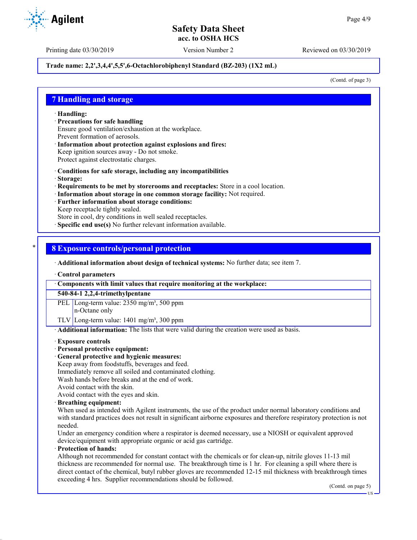Printing date 03/30/2019 Version Number 2 Reviewed on 03/30/2019

### **Trade name: 2,2',3,4,4',5,5',6-Octachlorobiphenyl Standard (BZ-203) (1X2 mL)**

(Contd. of page 3)

## **7 Handling and storage**

· **Handling:**

- · **Precautions for safe handling** Ensure good ventilation/exhaustion at the workplace. Prevent formation of aerosols.
- · **Information about protection against explosions and fires:** Keep ignition sources away - Do not smoke. Protect against electrostatic charges.
- · **Conditions for safe storage, including any incompatibilities**
- · **Storage:**
- · **Requirements to be met by storerooms and receptacles:** Store in a cool location.
- · **Information about storage in one common storage facility:** Not required.
- · **Further information about storage conditions:**
- Keep receptacle tightly sealed.

Store in cool, dry conditions in well sealed receptacles.

**Specific end use(s)** No further relevant information available.

## \* **8 Exposure controls/personal protection**

· **Additional information about design of technical systems:** No further data; see item 7.

· **Control parameters**

· **Components with limit values that require monitoring at the workplace:**

**540-84-1 2,2,4-trimethylpentane**

PEL Long-term value: 2350 mg/m<sup>3</sup>, 500 ppm n-Octane only

TLV Long-term value:  $1401 \text{ mg/m}^3$ , 300 ppm

· **Additional information:** The lists that were valid during the creation were used as basis.

#### · **Exposure controls**

### · **Personal protective equipment:**

· **General protective and hygienic measures:**

Keep away from foodstuffs, beverages and feed.

- Immediately remove all soiled and contaminated clothing.
- Wash hands before breaks and at the end of work.
- Avoid contact with the skin.

Avoid contact with the eyes and skin.

#### · **Breathing equipment:**

When used as intended with Agilent instruments, the use of the product under normal laboratory conditions and with standard practices does not result in significant airborne exposures and therefore respiratory protection is not needed.

Under an emergency condition where a respirator is deemed necessary, use a NIOSH or equivalent approved device/equipment with appropriate organic or acid gas cartridge.

#### · **Protection of hands:**

Although not recommended for constant contact with the chemicals or for clean-up, nitrile gloves 11-13 mil thickness are recommended for normal use. The breakthrough time is 1 hr. For cleaning a spill where there is direct contact of the chemical, butyl rubber gloves are recommended 12-15 mil thickness with breakthrough times exceeding 4 hrs. Supplier recommendations should be followed.

(Contd. on page 5)

**Agilent**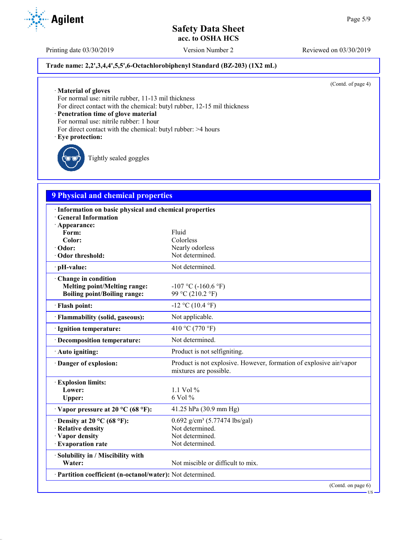Printing date 03/30/2019 Version Number 2 Reviewed on 03/30/2019

## **Trade name: 2,2',3,4,4',5,5',6-Octachlorobiphenyl Standard (BZ-203) (1X2 mL)**

(Contd. of page 4)

· **Material of gloves**

For normal use: nitrile rubber, 11-13 mil thickness

For direct contact with the chemical: butyl rubber, 12-15 mil thickness

· **Penetration time of glove material**

For normal use: nitrile rubber: 1 hour

- For direct contact with the chemical: butyl rubber: >4 hours
- · **Eye protection:**

Tightly sealed goggles

# **9 Physical and chemical properties**

| · Information on basic physical and chemical properties                                           |                                                                                               |
|---------------------------------------------------------------------------------------------------|-----------------------------------------------------------------------------------------------|
| <b>General Information</b><br>· Appearance:                                                       |                                                                                               |
| Form:                                                                                             | Fluid                                                                                         |
| Color:                                                                                            | Colorless                                                                                     |
| · Odor:                                                                                           | Nearly odorless                                                                               |
| Odor threshold:                                                                                   | Not determined.                                                                               |
| · pH-value:                                                                                       | Not determined.                                                                               |
| Change in condition<br><b>Melting point/Melting range:</b><br><b>Boiling point/Boiling range:</b> | $-107$ °C ( $-160.6$ °F)<br>99 °C (210.2 °F)                                                  |
| · Flash point:                                                                                    | $-12$ °C (10.4 °F)                                                                            |
| · Flammability (solid, gaseous):                                                                  | Not applicable.                                                                               |
| · Ignition temperature:                                                                           | 410 °C (770 °F)                                                                               |
| · Decomposition temperature:                                                                      | Not determined.                                                                               |
| · Auto igniting:                                                                                  | Product is not selfigniting.                                                                  |
| · Danger of explosion:                                                                            | Product is not explosive. However, formation of explosive air/vapor<br>mixtures are possible. |
| <b>Explosion limits:</b>                                                                          |                                                                                               |
| Lower:                                                                                            | 1.1 Vol $%$                                                                                   |
| Upper:                                                                                            | 6 Vol %                                                                                       |
| $\cdot$ Vapor pressure at 20 °C (68 °F):                                                          | 41.25 hPa (30.9 mm Hg)                                                                        |
| $\cdot$ Density at 20 °C (68 °F):                                                                 | $0.692$ g/cm <sup>3</sup> (5.77474 lbs/gal)                                                   |
| · Relative density                                                                                | Not determined.                                                                               |
| · Vapor density                                                                                   | Not determined.                                                                               |
| · Evaporation rate                                                                                | Not determined.                                                                               |
| · Solubility in / Miscibility with                                                                |                                                                                               |
| Water:                                                                                            | Not miscible or difficult to mix.                                                             |
| · Partition coefficient (n-octanol/water): Not determined.                                        |                                                                                               |
|                                                                                                   | (Contd. on page 6)                                                                            |

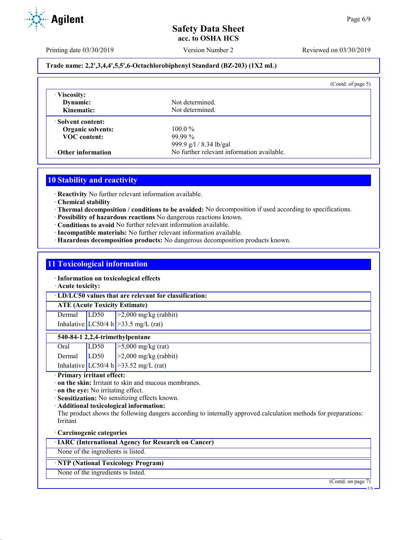**Agilent** 

Printing date 03/30/2019 Version Number 2 Reviewed on 03/30/2019

## **Trade name: 2,2',3,4,4',5,5',6-Octachlorobiphenyl Standard (BZ-203) (1X2 mL)**

|                                        | (Contd. of page $5$ )                      |
|----------------------------------------|--------------------------------------------|
| · Viscosity:<br>Dynamic:<br>Kinematic: | Not determined.<br>Not determined.         |
| · Solvent content:                     |                                            |
| <b>Organic solvents:</b>               | $100.0\%$                                  |
| <b>VOC</b> content:                    | $99.99\%$                                  |
|                                        | 999.9 g/l / 8.34 lb/gal                    |
| $\cdot$ Other information              | No further relevant information available. |

# **10 Stability and reactivity**

· **Reactivity** No further relevant information available.

- · **Chemical stability**
- · **Thermal decomposition / conditions to be avoided:** No decomposition if used according to specifications.
- · **Possibility of hazardous reactions** No dangerous reactions known.
- · **Conditions to avoid** No further relevant information available.
- · **Incompatible materials:** No further relevant information available.
- · **Hazardous decomposition products:** No dangerous decomposition products known.

## **11 Toxicological information**

· **Information on toxicological effects**

· **Acute toxicity:**

· **LD/LC50 values that are relevant for classification:**

## **ATE (Acute Toxicity Estimate)**

Dermal LD50 >2,000 mg/kg (rabbit) Inhalative  $LC50/4$  h  $>33.5$  mg/L (rat)

## **540-84-1 2,2,4-trimethylpentane**

| Oral           | LD50 | $\ge$ 5,000 mg/kg (rat)                  |
|----------------|------|------------------------------------------|
| Dermal $ LD50$ |      | $ >2,000$ mg/kg (rabbit)                 |
|                |      | Inhalative LC50/4 h $>$ 33.52 mg/L (rat) |

· **Primary irritant effect:**

- · **on the skin:** Irritant to skin and mucous membranes.
- · **on the eye:** No irritating effect.
- · **Sensitization:** No sensitizing effects known.
- · **Additional toxicological information:**

The product shows the following dangers according to internally approved calculation methods for preparations: Irritant

#### · **Carcinogenic categories**

· **IARC (International Agency for Research on Cancer)**

None of the ingredients is listed.

## · **NTP (National Toxicology Program)**

None of the ingredients is listed.

(Contd. on page 7)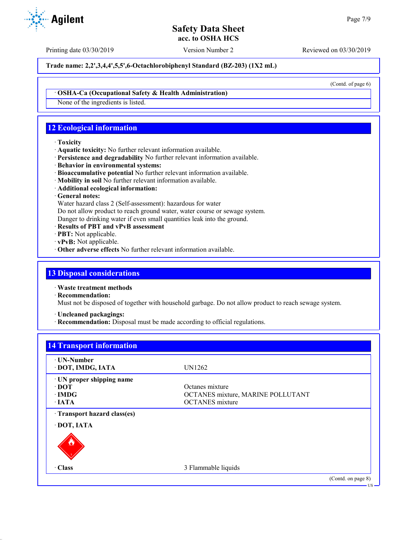Printing date 03/30/2019 Version Number 2 Reviewed on 03/30/2019

**Trade name: 2,2',3,4,4',5,5',6-Octachlorobiphenyl Standard (BZ-203) (1X2 mL)**

(Contd. of page 6)

· **OSHA-Ca (Occupational Safety & Health Administration)**

None of the ingredients is listed.

# **12 Ecological information**

### · **Toxicity**

- · **Aquatic toxicity:** No further relevant information available.
- · **Persistence and degradability** No further relevant information available.
- · **Behavior in environmental systems:**
- · **Bioaccumulative potential** No further relevant information available.
- · **Mobility in soil** No further relevant information available.
- · **Additional ecological information:**
- · **General notes:**
- Water hazard class 2 (Self-assessment): hazardous for water
- Do not allow product to reach ground water, water course or sewage system.
- Danger to drinking water if even small quantities leak into the ground.
- · **Results of PBT and vPvB assessment**
- · **PBT:** Not applicable.
- · **vPvB:** Not applicable.
- · **Other adverse effects** No further relevant information available.

## **13 Disposal considerations**

· **Waste treatment methods**

· **Recommendation:**

Must not be disposed of together with household garbage. Do not allow product to reach sewage system.

· **Uncleaned packagings:**

· **Recommendation:** Disposal must be made according to official regulations.

| ⋅ UN-Number                |                                   |  |
|----------------------------|-----------------------------------|--|
| · DOT, IMDG, IATA          | UN1262                            |  |
| · UN proper shipping name  |                                   |  |
| $\cdot$ DOT                | Octanes mixture                   |  |
| $\cdot$ IMDG               | OCTANES mixture, MARINE POLLUTANT |  |
| $\cdot$ IATA               | <b>OCTANES</b> mixture            |  |
| Transport hazard class(es) |                                   |  |
| · DOT, IATA                |                                   |  |
|                            |                                   |  |
| · Class                    | 3 Flammable liquids               |  |

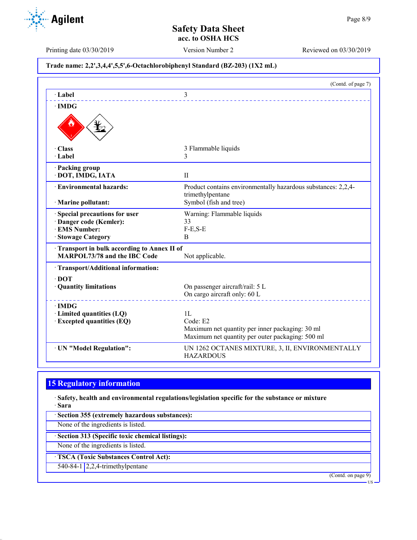**Agilent** 

Printing date 03/30/2019 Version Number 2 Reviewed on 03/30/2019

## **Trade name: 2,2',3,4,4',5,5',6-Octachlorobiphenyl Standard (BZ-203) (1X2 mL)**

|                                            | (Contd. of page 7)                                                                |
|--------------------------------------------|-----------------------------------------------------------------------------------|
| $\cdot$ Label                              | 3                                                                                 |
| $\cdot$ IMDG                               |                                                                                   |
|                                            |                                                                                   |
| $\cdot$ Class                              | 3 Flammable liquids                                                               |
| $\cdot$ Label                              | 3                                                                                 |
| · Packing group                            |                                                                                   |
| · DOT, IMDG, IATA                          | $\mathbf{I}$                                                                      |
| · Environmental hazards:                   | Product contains environmentally hazardous substances: 2,2,4-<br>trimethylpentane |
| · Marine pollutant:                        | Symbol (fish and tree)                                                            |
| Special precautions for user               | Warning: Flammable liquids                                                        |
| · Danger code (Kemler):                    | 33                                                                                |
| · EMS Number:                              | $F-E,S-E$                                                                         |
| · Stowage Category                         | B                                                                                 |
| Transport in bulk according to Annex II of |                                                                                   |
| <b>MARPOL73/78 and the IBC Code</b>        | Not applicable.                                                                   |
| · Transport/Additional information:        |                                                                                   |
| $\cdot$ DOT                                |                                                                                   |
| · Quantity limitations                     | On passenger aircraft/rail: 5 L                                                   |
|                                            | On cargo aircraft only: 60 L                                                      |
| $\cdot$ IMDG                               |                                                                                   |
| · Limited quantities (LQ)                  | 1L                                                                                |
| <b>Excepted quantities (EQ)</b>            | Code: E2                                                                          |
|                                            | Maximum net quantity per inner packaging: 30 ml                                   |
|                                            | Maximum net quantity per outer packaging: 500 ml                                  |
| · UN "Model Regulation":                   | UN 1262 OCTANES MIXTURE, 3, II, ENVIRONMENTALLY<br><b>HAZARDOUS</b>               |

# **15 Regulatory information**

· **Safety, health and environmental regulations/legislation specific for the substance or mixture** · **Sara**

· **Section 355 (extremely hazardous substances):**

None of the ingredients is listed.

· **Section 313 (Specific toxic chemical listings):**

None of the ingredients is listed.

· **TSCA (Toxic Substances Control Act):**

540-84-1 2,2,4-trimethylpentane

(Contd. on page 9)

US